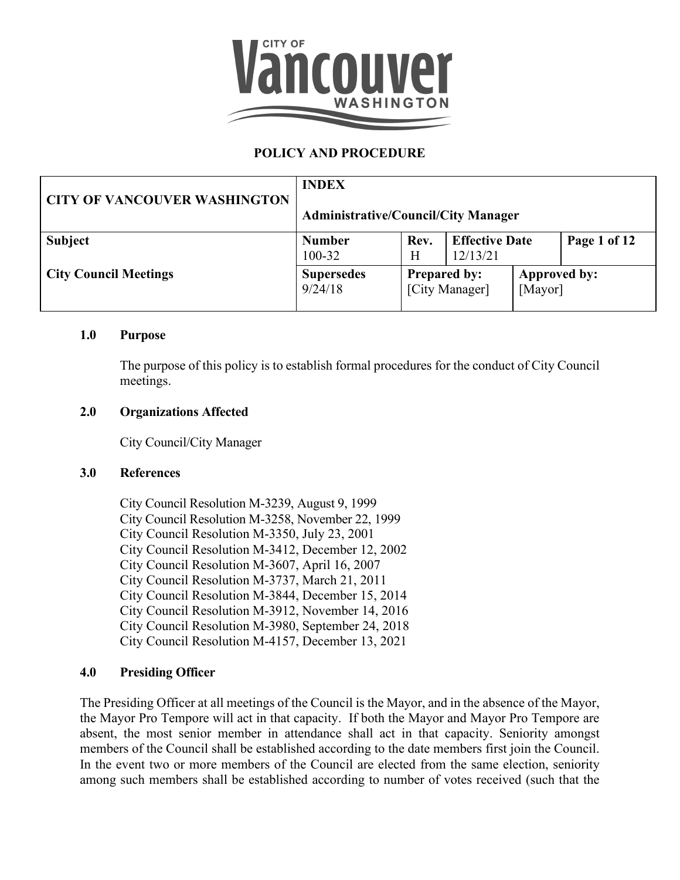

# **POLICY AND PROCEDURE**

| <b>CITY OF VANCOUVER WASHINGTON</b> | <b>INDEX</b><br><b>Administrative/Council/City Manager</b> |                                       |                                   |                         |              |
|-------------------------------------|------------------------------------------------------------|---------------------------------------|-----------------------------------|-------------------------|--------------|
| <b>Subject</b>                      | <b>Number</b><br>100-32                                    | Rev.<br>Н                             | <b>Effective Date</b><br>12/13/21 |                         | Page 1 of 12 |
| <b>City Council Meetings</b>        | <b>Supersedes</b><br>9/24/18                               | <b>Prepared by:</b><br>[City Manager] |                                   | Approved by:<br>[Mayor] |              |

#### **1.0 Purpose**

The purpose of this policy is to establish formal procedures for the conduct of City Council meetings.

#### **2.0 Organizations Affected**

City Council/City Manager

#### **3.0 References**

City Council Resolution M-3239, August 9, 1999 City Council Resolution M-3258, November 22, 1999 City Council Resolution M-3350, July 23, 2001 City Council Resolution M-3412, December 12, 2002 City Council Resolution M-3607, April 16, 2007 City Council Resolution M-3737, March 21, 2011 City Council Resolution M-3844, December 15, 2014 City Council Resolution M-3912, November 14, 2016 City Council Resolution M-3980, September 24, 2018 City Council Resolution M-4157, December 13, 2021

#### **4.0 Presiding Officer**

The Presiding Officer at all meetings of the Council is the Mayor, and in the absence of the Mayor, the Mayor Pro Tempore will act in that capacity. If both the Mayor and Mayor Pro Tempore are absent, the most senior member in attendance shall act in that capacity. Seniority amongst members of the Council shall be established according to the date members first join the Council. In the event two or more members of the Council are elected from the same election, seniority among such members shall be established according to number of votes received (such that the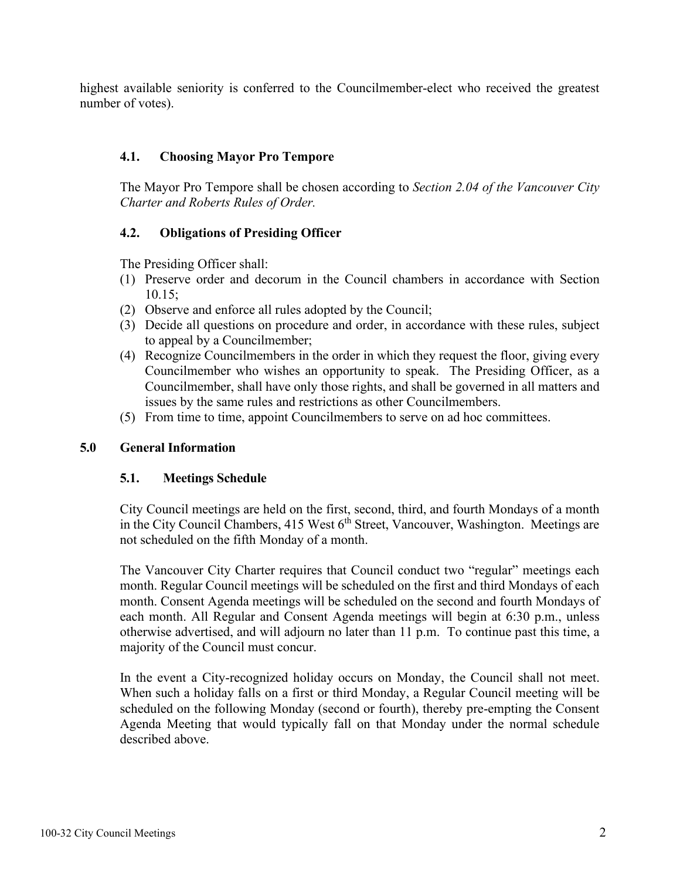highest available seniority is conferred to the Councilmember-elect who received the greatest number of votes).

## **4.1. Choosing Mayor Pro Tempore**

The Mayor Pro Tempore shall be chosen according to *Section 2.04 of the Vancouver City Charter and Roberts Rules of Order.*

# **4.2. Obligations of Presiding Officer**

The Presiding Officer shall:

- (1) Preserve order and decorum in the Council chambers in accordance with Section 10.15;
- (2) Observe and enforce all rules adopted by the Council;
- (3) Decide all questions on procedure and order, in accordance with these rules, subject to appeal by a Councilmember;
- (4) Recognize Councilmembers in the order in which they request the floor, giving every Councilmember who wishes an opportunity to speak. The Presiding Officer, as a Councilmember, shall have only those rights, and shall be governed in all matters and issues by the same rules and restrictions as other Councilmembers.
- (5) From time to time, appoint Councilmembers to serve on ad hoc committees.

## **5.0 General Information**

## **5.1. Meetings Schedule**

City Council meetings are held on the first, second, third, and fourth Mondays of a month in the City Council Chambers,  $415$  West  $6<sup>th</sup>$  Street, Vancouver, Washington. Meetings are not scheduled on the fifth Monday of a month.

The Vancouver City Charter requires that Council conduct two "regular" meetings each month. Regular Council meetings will be scheduled on the first and third Mondays of each month. Consent Agenda meetings will be scheduled on the second and fourth Mondays of each month. All Regular and Consent Agenda meetings will begin at 6:30 p.m., unless otherwise advertised, and will adjourn no later than 11 p.m. To continue past this time, a majority of the Council must concur.

In the event a City-recognized holiday occurs on Monday, the Council shall not meet. When such a holiday falls on a first or third Monday, a Regular Council meeting will be scheduled on the following Monday (second or fourth), thereby pre-empting the Consent Agenda Meeting that would typically fall on that Monday under the normal schedule described above.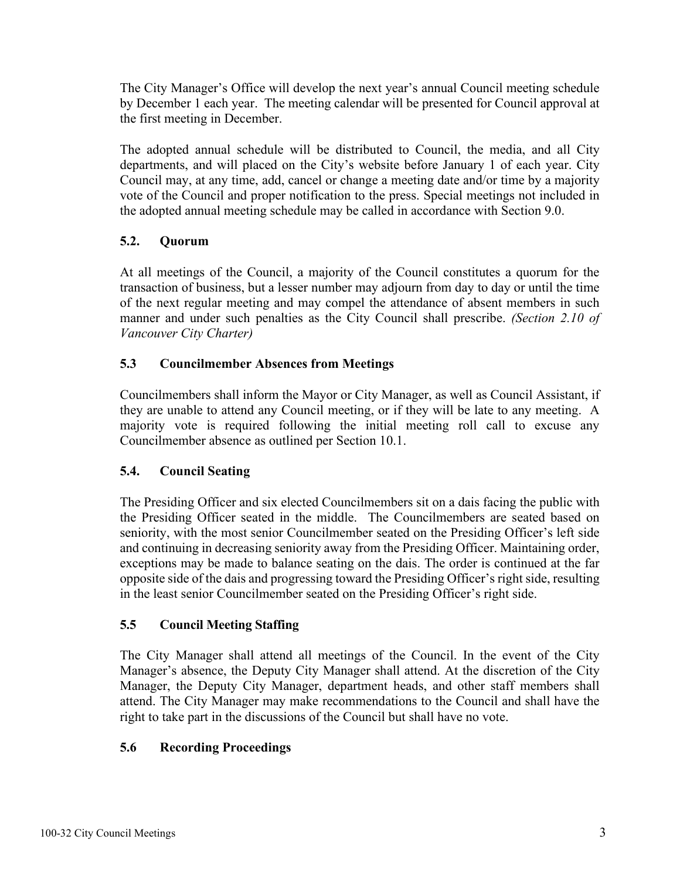The City Manager's Office will develop the next year's annual Council meeting schedule by December 1 each year. The meeting calendar will be presented for Council approval at the first meeting in December.

The adopted annual schedule will be distributed to Council, the media, and all City departments, and will placed on the City's website before January 1 of each year. City Council may, at any time, add, cancel or change a meeting date and/or time by a majority vote of the Council and proper notification to the press. Special meetings not included in the adopted annual meeting schedule may be called in accordance with Section 9.0.

# **5.2. Quorum**

At all meetings of the Council, a majority of the Council constitutes a quorum for the transaction of business, but a lesser number may adjourn from day to day or until the time of the next regular meeting and may compel the attendance of absent members in such manner and under such penalties as the City Council shall prescribe. *(Section 2.10 of Vancouver City Charter)*

## **5.3 Councilmember Absences from Meetings**

Councilmembers shall inform the Mayor or City Manager, as well as Council Assistant, if they are unable to attend any Council meeting, or if they will be late to any meeting. A majority vote is required following the initial meeting roll call to excuse any Councilmember absence as outlined per Section 10.1.

## **5.4. Council Seating**

The Presiding Officer and six elected Councilmembers sit on a dais facing the public with the Presiding Officer seated in the middle. The Councilmembers are seated based on seniority, with the most senior Councilmember seated on the Presiding Officer's left side and continuing in decreasing seniority away from the Presiding Officer. Maintaining order, exceptions may be made to balance seating on the dais. The order is continued at the far opposite side of the dais and progressing toward the Presiding Officer's right side, resulting in the least senior Councilmember seated on the Presiding Officer's right side.

## **5.5 Council Meeting Staffing**

The City Manager shall attend all meetings of the Council. In the event of the City Manager's absence, the Deputy City Manager shall attend. At the discretion of the City Manager, the Deputy City Manager, department heads, and other staff members shall attend. The City Manager may make recommendations to the Council and shall have the right to take part in the discussions of the Council but shall have no vote.

## **5.6 Recording Proceedings**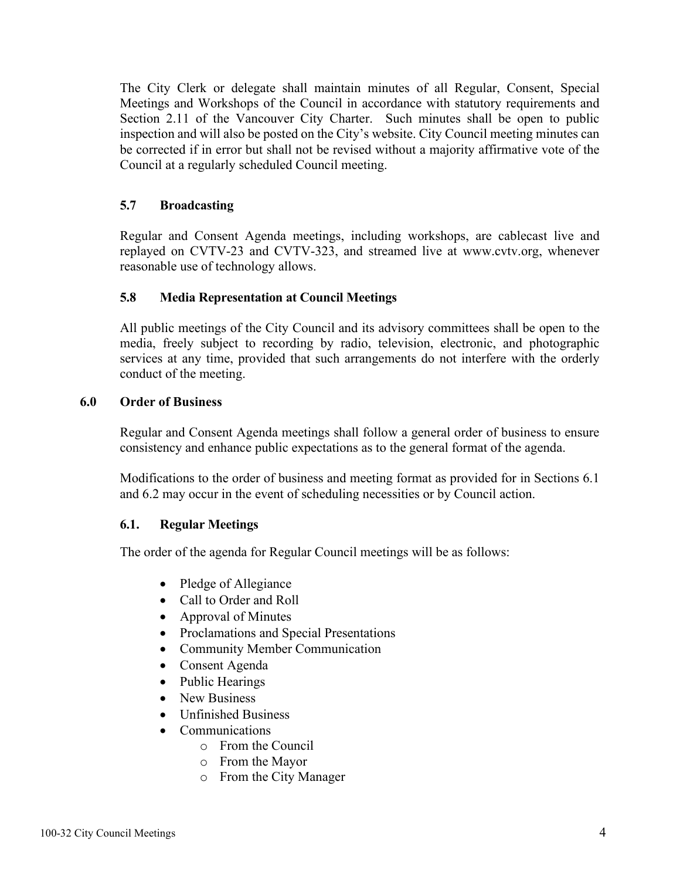The City Clerk or delegate shall maintain minutes of all Regular, Consent, Special Meetings and Workshops of the Council in accordance with statutory requirements and Section 2.11 of the Vancouver City Charter. Such minutes shall be open to public inspection and will also be posted on the City's website. City Council meeting minutes can be corrected if in error but shall not be revised without a majority affirmative vote of the Council at a regularly scheduled Council meeting.

## **5.7 Broadcasting**

Regular and Consent Agenda meetings, including workshops, are cablecast live and replayed on CVTV-23 and CVTV-323, and streamed live at [www.cvtv.org,](http://www.cvtv.org/) whenever reasonable use of technology allows.

# **5.8 Media Representation at Council Meetings**

All public meetings of the City Council and its advisory committees shall be open to the media, freely subject to recording by radio, television, electronic, and photographic services at any time, provided that such arrangements do not interfere with the orderly conduct of the meeting.

## **6.0 Order of Business**

Regular and Consent Agenda meetings shall follow a general order of business to ensure consistency and enhance public expectations as to the general format of the agenda.

Modifications to the order of business and meeting format as provided for in Sections 6.1 and 6.2 may occur in the event of scheduling necessities or by Council action.

## **6.1. Regular Meetings**

The order of the agenda for Regular Council meetings will be as follows:

- Pledge of Allegiance
- Call to Order and Roll
- Approval of Minutes
- Proclamations and Special Presentations
- Community Member Communication
- Consent Agenda
- Public Hearings
- New Business
- Unfinished Business
- Communications
	- o From the Council
	- o From the Mayor
	- o From the City Manager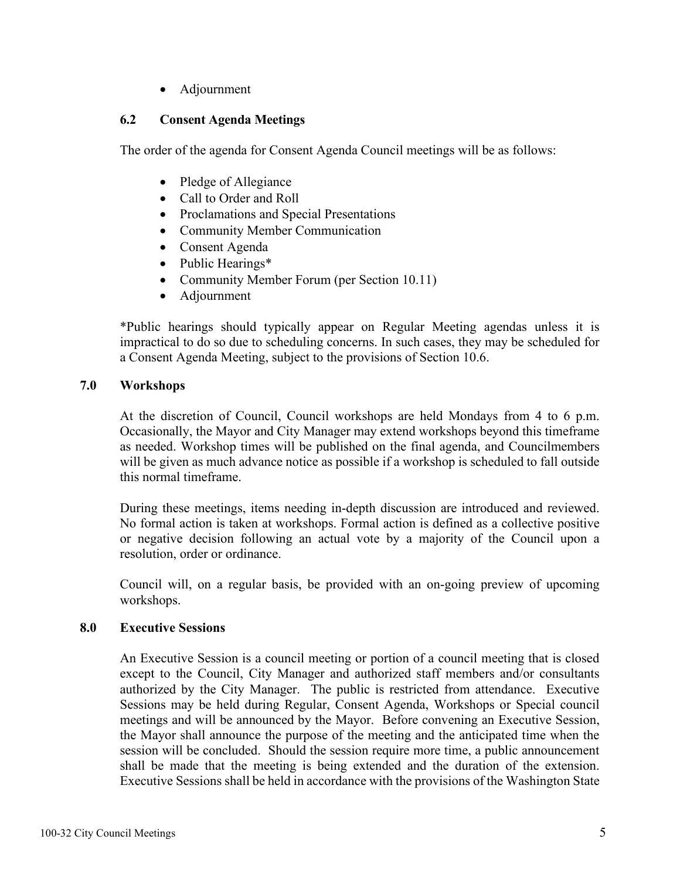• Adjournment

### **6.2 Consent Agenda Meetings**

The order of the agenda for Consent Agenda Council meetings will be as follows:

- Pledge of Allegiance
- Call to Order and Roll
- Proclamations and Special Presentations
- Community Member Communication
- Consent Agenda
- Public Hearings\*
- Community Member Forum (per Section 10.11)
- Adjournment

\*Public hearings should typically appear on Regular Meeting agendas unless it is impractical to do so due to scheduling concerns. In such cases, they may be scheduled for a Consent Agenda Meeting, subject to the provisions of Section 10.6.

## **7.0 Workshops**

At the discretion of Council, Council workshops are held Mondays from 4 to 6 p.m. Occasionally, the Mayor and City Manager may extend workshops beyond this timeframe as needed. Workshop times will be published on the final agenda, and Councilmembers will be given as much advance notice as possible if a workshop is scheduled to fall outside this normal timeframe.

During these meetings, items needing in-depth discussion are introduced and reviewed. No formal action is taken at workshops. Formal action is defined as a collective positive or negative decision following an actual vote by a majority of the Council upon a resolution, order or ordinance.

Council will, on a regular basis, be provided with an on-going preview of upcoming workshops.

## **8.0 Executive Sessions**

An Executive Session is a council meeting or portion of a council meeting that is closed except to the Council, City Manager and authorized staff members and/or consultants authorized by the City Manager. The public is restricted from attendance. Executive Sessions may be held during Regular, Consent Agenda, Workshops or Special council meetings and will be announced by the Mayor. Before convening an Executive Session, the Mayor shall announce the purpose of the meeting and the anticipated time when the session will be concluded. Should the session require more time, a public announcement shall be made that the meeting is being extended and the duration of the extension. Executive Sessions shall be held in accordance with the provisions of the Washington State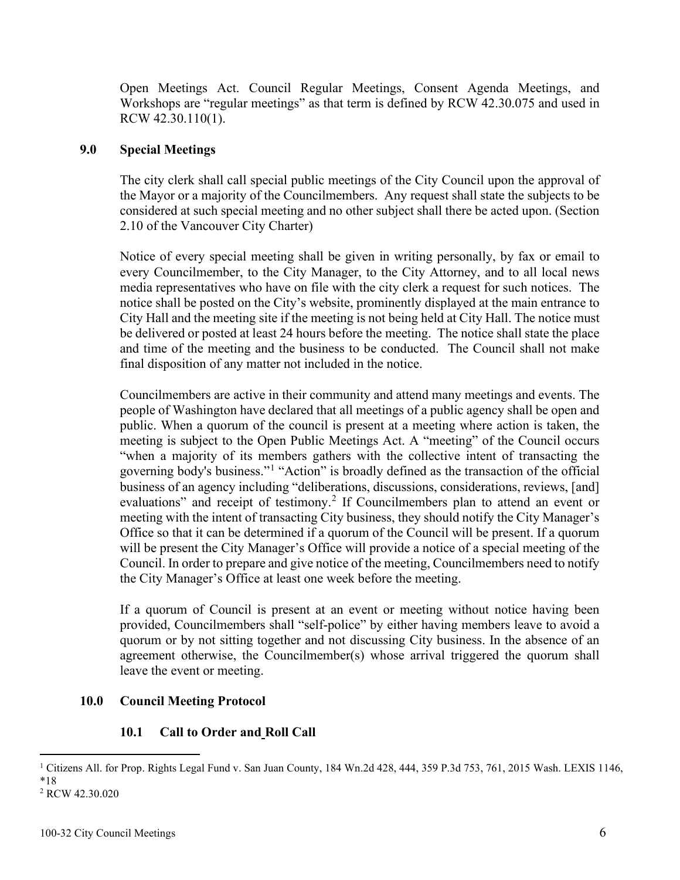Open Meetings Act. Council Regular Meetings, Consent Agenda Meetings, and Workshops are "regular meetings" as that term is defined by RCW 42.30.075 and used in RCW 42.30.110(1).

### **9.0 Special Meetings**

The city clerk shall call special public meetings of the City Council upon the approval of the Mayor or a majority of the Councilmembers. Any request shall state the subjects to be considered at such special meeting and no other subject shall there be acted upon. (Section 2.10 of the Vancouver City Charter)

Notice of every special meeting shall be given in writing personally, by fax or email to every Councilmember, to the City Manager, to the City Attorney, and to all local news media representatives who have on file with the city clerk a request for such notices. The notice shall be posted on the City's website, prominently displayed at the main entrance to City Hall and the meeting site if the meeting is not being held at City Hall. The notice must be delivered or posted at least 24 hours before the meeting. The notice shall state the place and time of the meeting and the business to be conducted. The Council shall not make final disposition of any matter not included in the notice.

Councilmembers are active in their community and attend many meetings and events. The people of Washington have declared that all meetings of a public agency shall be open and public. When a quorum of the council is present at a meeting where action is taken, the meeting is subject to the Open Public Meetings Act. A "meeting" of the Council occurs "when a majority of its members gathers with the collective intent of transacting the governing body's business."[1](#page-5-0) "Action" is broadly defined as the transaction of the official business of an agency including "deliberations, discussions, considerations, reviews, [and] evaluations" and receipt of testimony.<sup>[2](#page-5-1)</sup> If Councilmembers plan to attend an event or meeting with the intent of transacting City business, they should notify the City Manager's Office so that it can be determined if a quorum of the Council will be present. If a quorum will be present the City Manager's Office will provide a notice of a special meeting of the Council. In order to prepare and give notice of the meeting, Councilmembers need to notify the City Manager's Office at least one week before the meeting.

If a quorum of Council is present at an event or meeting without notice having been provided, Councilmembers shall "self-police" by either having members leave to avoid a quorum or by not sitting together and not discussing City business. In the absence of an agreement otherwise, the Councilmember(s) whose arrival triggered the quorum shall leave the event or meeting.

## **10.0 Council Meeting Protocol**

## **10.1 Call to Order and Roll Call**

<span id="page-5-0"></span><sup>&</sup>lt;sup>1</sup> Citizens All. for Prop. Rights Legal Fund v. San Juan County, 184 Wn.2d 428, 444, 359 P.3d 753, 761, 2015 Wash. LEXIS 1146, \*18

<span id="page-5-1"></span><sup>2</sup> RCW 42.30.020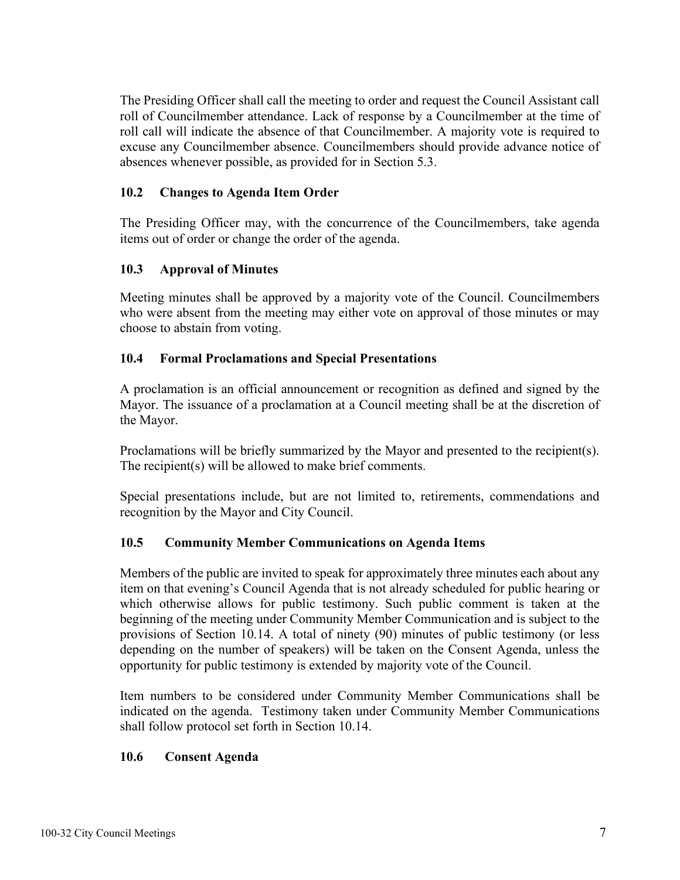The Presiding Officer shall call the meeting to order and request the Council Assistant call roll of Councilmember attendance. Lack of response by a Councilmember at the time of roll call will indicate the absence of that Councilmember. A majority vote is required to excuse any Councilmember absence. Councilmembers should provide advance notice of absences whenever possible, as provided for in Section 5.3.

### **10.2 Changes to Agenda Item Order**

The Presiding Officer may, with the concurrence of the Councilmembers, take agenda items out of order or change the order of the agenda.

### **10.3 Approval of Minutes**

Meeting minutes shall be approved by a majority vote of the Council. Councilmembers who were absent from the meeting may either vote on approval of those minutes or may choose to abstain from voting.

### **10.4 Formal Proclamations and Special Presentations**

A proclamation is an official announcement or recognition as defined and signed by the Mayor. The issuance of a proclamation at a Council meeting shall be at the discretion of the Mayor.

Proclamations will be briefly summarized by the Mayor and presented to the recipient(s). The recipient(s) will be allowed to make brief comments.

Special presentations include, but are not limited to, retirements, commendations and recognition by the Mayor and City Council.

#### **10.5 Community Member Communications on Agenda Items**

Members of the public are invited to speak for approximately three minutes each about any item on that evening's Council Agenda that is not already scheduled for public hearing or which otherwise allows for public testimony. Such public comment is taken at the beginning of the meeting under Community Member Communication and is subject to the provisions of Section 10.14. A total of ninety (90) minutes of public testimony (or less depending on the number of speakers) will be taken on the Consent Agenda, unless the opportunity for public testimony is extended by majority vote of the Council.

Item numbers to be considered under Community Member Communications shall be indicated on the agenda. Testimony taken under Community Member Communications shall follow protocol set forth in Section 10.14.

#### **10.6 Consent Agenda**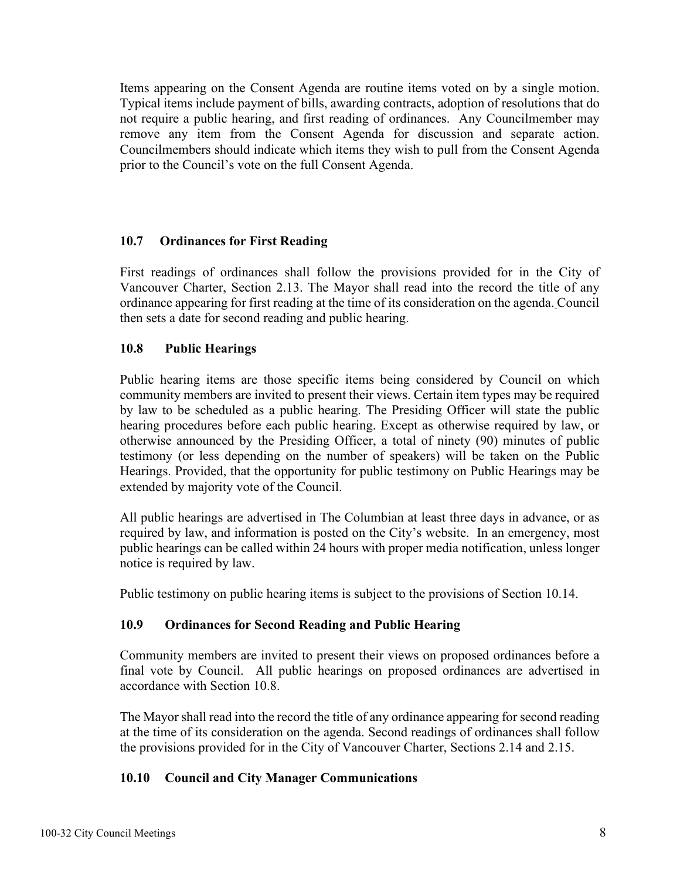Items appearing on the Consent Agenda are routine items voted on by a single motion. Typical items include payment of bills, awarding contracts, adoption of resolutions that do not require a public hearing, and first reading of ordinances. Any Councilmember may remove any item from the Consent Agenda for discussion and separate action. Councilmembers should indicate which items they wish to pull from the Consent Agenda prior to the Council's vote on the full Consent Agenda.

### **10.7 Ordinances for First Reading**

First readings of ordinances shall follow the provisions provided for in the City of Vancouver Charter, Section 2.13. The Mayor shall read into the record the title of any ordinance appearing for first reading at the time of its consideration on the agenda. Council then sets a date for second reading and public hearing.

#### **10.8 Public Hearings**

Public hearing items are those specific items being considered by Council on which community members are invited to present their views. Certain item types may be required by law to be scheduled as a public hearing. The Presiding Officer will state the public hearing procedures before each public hearing. Except as otherwise required by law, or otherwise announced by the Presiding Officer, a total of ninety (90) minutes of public testimony (or less depending on the number of speakers) will be taken on the Public Hearings. Provided, that the opportunity for public testimony on Public Hearings may be extended by majority vote of the Council.

All public hearings are advertised in The Columbian at least three days in advance, or as required by law, and information is posted on the City's website. In an emergency, most public hearings can be called within 24 hours with proper media notification, unless longer notice is required by law.

Public testimony on public hearing items is subject to the provisions of Section 10.14.

#### **10.9 Ordinances for Second Reading and Public Hearing**

Community members are invited to present their views on proposed ordinances before a final vote by Council. All public hearings on proposed ordinances are advertised in accordance with Section 10.8.

The Mayor shall read into the record the title of any ordinance appearing for second reading at the time of its consideration on the agenda. Second readings of ordinances shall follow the provisions provided for in the City of Vancouver Charter, Sections 2.14 and 2.15.

#### **10.10 Council and City Manager Communications**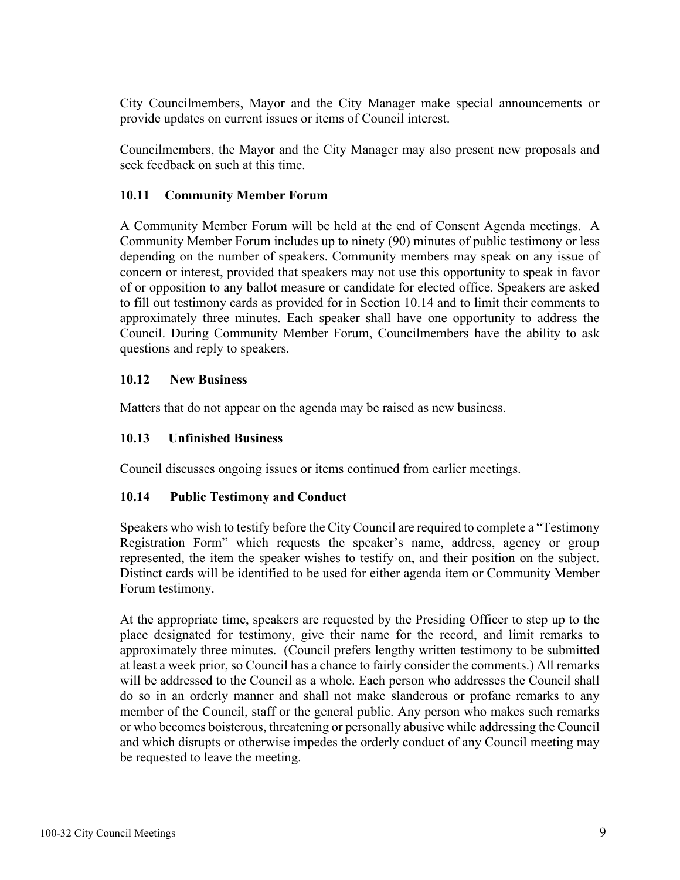City Councilmembers, Mayor and the City Manager make special announcements or provide updates on current issues or items of Council interest.

Councilmembers, the Mayor and the City Manager may also present new proposals and seek feedback on such at this time.

# **10.11 Community Member Forum**

A Community Member Forum will be held at the end of Consent Agenda meetings. A Community Member Forum includes up to ninety (90) minutes of public testimony or less depending on the number of speakers. Community members may speak on any issue of concern or interest, provided that speakers may not use this opportunity to speak in favor of or opposition to any ballot measure or candidate for elected office. Speakers are asked to fill out testimony cards as provided for in Section 10.14 and to limit their comments to approximately three minutes. Each speaker shall have one opportunity to address the Council. During Community Member Forum, Councilmembers have the ability to ask questions and reply to speakers.

# **10.12 New Business**

Matters that do not appear on the agenda may be raised as new business.

## **10.13 Unfinished Business**

Council discusses ongoing issues or items continued from earlier meetings.

## **10.14 Public Testimony and Conduct**

Speakers who wish to testify before the City Council are required to complete a "Testimony Registration Form" which requests the speaker's name, address, agency or group represented, the item the speaker wishes to testify on, and their position on the subject. Distinct cards will be identified to be used for either agenda item or Community Member Forum testimony.

At the appropriate time, speakers are requested by the Presiding Officer to step up to the place designated for testimony, give their name for the record, and limit remarks to approximately three minutes. (Council prefers lengthy written testimony to be submitted at least a week prior, so Council has a chance to fairly consider the comments.) All remarks will be addressed to the Council as a whole. Each person who addresses the Council shall do so in an orderly manner and shall not make slanderous or profane remarks to any member of the Council, staff or the general public. Any person who makes such remarks or who becomes boisterous, threatening or personally abusive while addressing the Council and which disrupts or otherwise impedes the orderly conduct of any Council meeting may be requested to leave the meeting.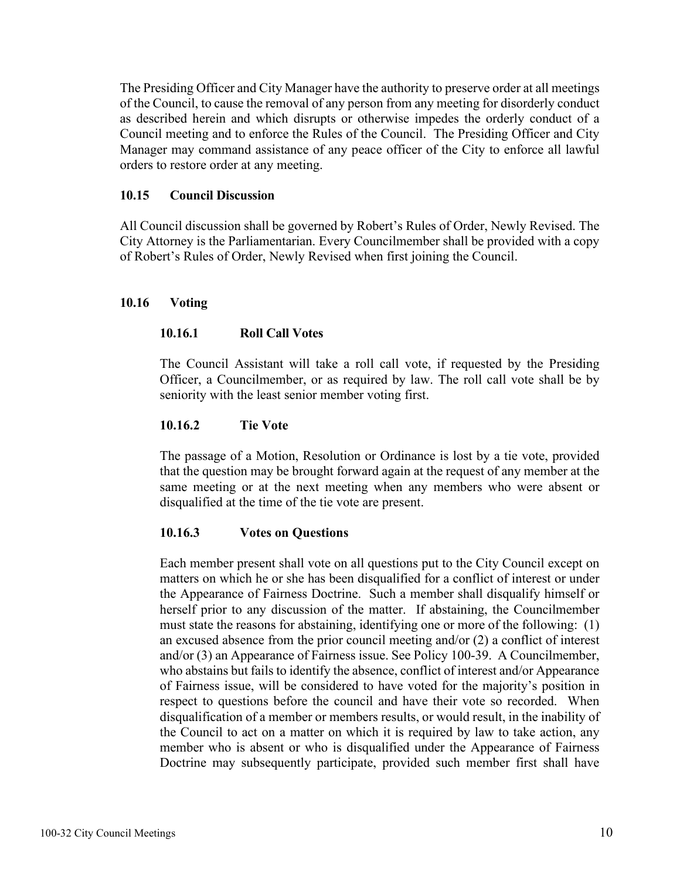The Presiding Officer and City Manager have the authority to preserve order at all meetings of the Council, to cause the removal of any person from any meeting for disorderly conduct as described herein and which disrupts or otherwise impedes the orderly conduct of a Council meeting and to enforce the Rules of the Council. The Presiding Officer and City Manager may command assistance of any peace officer of the City to enforce all lawful orders to restore order at any meeting.

#### **10.15 Council Discussion**

All Council discussion shall be governed by Robert's Rules of Order, Newly Revised. The City Attorney is the Parliamentarian. Every Councilmember shall be provided with a copy of Robert's Rules of Order, Newly Revised when first joining the Council.

### **10.16 Voting**

## **10.16.1 Roll Call Votes**

The Council Assistant will take a roll call vote, if requested by the Presiding Officer, a Councilmember, or as required by law. The roll call vote shall be by seniority with the least senior member voting first.

### **10.16.2 Tie Vote**

The passage of a Motion, Resolution or Ordinance is lost by a tie vote, provided that the question may be brought forward again at the request of any member at the same meeting or at the next meeting when any members who were absent or disqualified at the time of the tie vote are present.

## **10.16.3 Votes on Questions**

Each member present shall vote on all questions put to the City Council except on matters on which he or she has been disqualified for a conflict of interest or under the Appearance of Fairness Doctrine. Such a member shall disqualify himself or herself prior to any discussion of the matter. If abstaining, the Councilmember must state the reasons for abstaining, identifying one or more of the following: (1) an excused absence from the prior council meeting and/or (2) a conflict of interest and/or (3) an Appearance of Fairness issue. See Policy 100-39. A Councilmember, who abstains but fails to identify the absence, conflict of interest and/or Appearance of Fairness issue, will be considered to have voted for the majority's position in respect to questions before the council and have their vote so recorded. When disqualification of a member or members results, or would result, in the inability of the Council to act on a matter on which it is required by law to take action, any member who is absent or who is disqualified under the Appearance of Fairness Doctrine may subsequently participate, provided such member first shall have